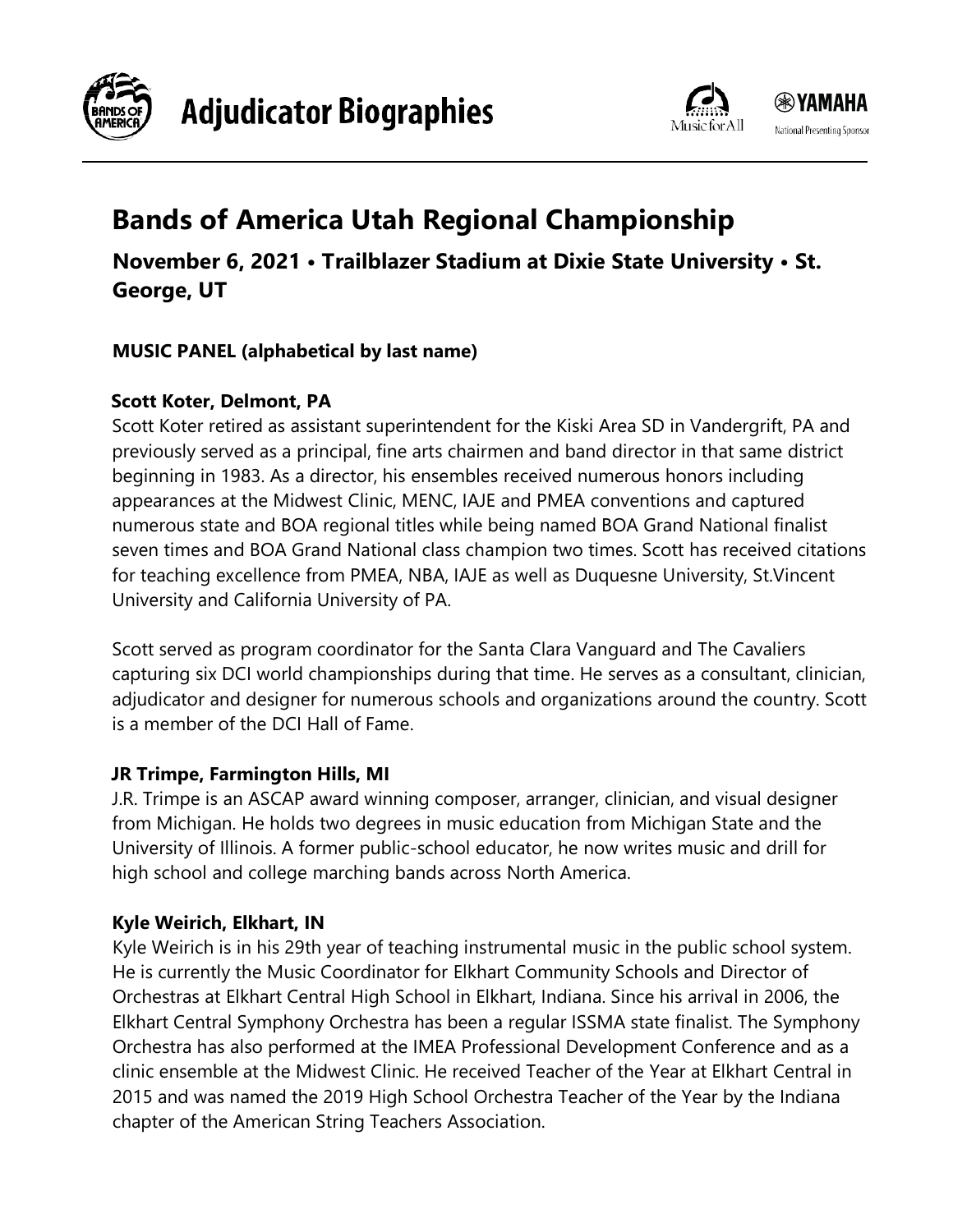



# **Bands of America Utah Regional Championship**

**November 6, 2021 • Trailblazer Stadium at Dixie State University • St. George, UT**

## **MUSIC PANEL (alphabetical by last name)**

## **Scott Koter, Delmont, PA**

Scott Koter retired as assistant superintendent for the Kiski Area SD in Vandergrift, PA and previously served as a principal, fine arts chairmen and band director in that same district beginning in 1983. As a director, his ensembles received numerous honors including appearances at the Midwest Clinic, MENC, IAJE and PMEA conventions and captured numerous state and BOA regional titles while being named BOA Grand National finalist seven times and BOA Grand National class champion two times. Scott has received citations for teaching excellence from PMEA, NBA, IAJE as well as Duquesne University, St.Vincent University and California University of PA.

Scott served as program coordinator for the Santa Clara Vanguard and The Cavaliers capturing six DCI world championships during that time. He serves as a consultant, clinician, adjudicator and designer for numerous schools and organizations around the country. Scott is a member of the DCI Hall of Fame.

## **JR Trimpe, Farmington Hills, MI**

J.R. Trimpe is an ASCAP award winning composer, arranger, clinician, and visual designer from Michigan. He holds two degrees in music education from Michigan State and the University of Illinois. A former public-school educator, he now writes music and drill for high school and college marching bands across North America.

## **Kyle Weirich, Elkhart, IN**

Kyle Weirich is in his 29th year of teaching instrumental music in the public school system. He is currently the Music Coordinator for Elkhart Community Schools and Director of Orchestras at Elkhart Central High School in Elkhart, Indiana. Since his arrival in 2006, the Elkhart Central Symphony Orchestra has been a regular ISSMA state finalist. The Symphony Orchestra has also performed at the IMEA Professional Development Conference and as a clinic ensemble at the Midwest Clinic. He received Teacher of the Year at Elkhart Central in 2015 and was named the 2019 High School Orchestra Teacher of the Year by the Indiana chapter of the American String Teachers Association.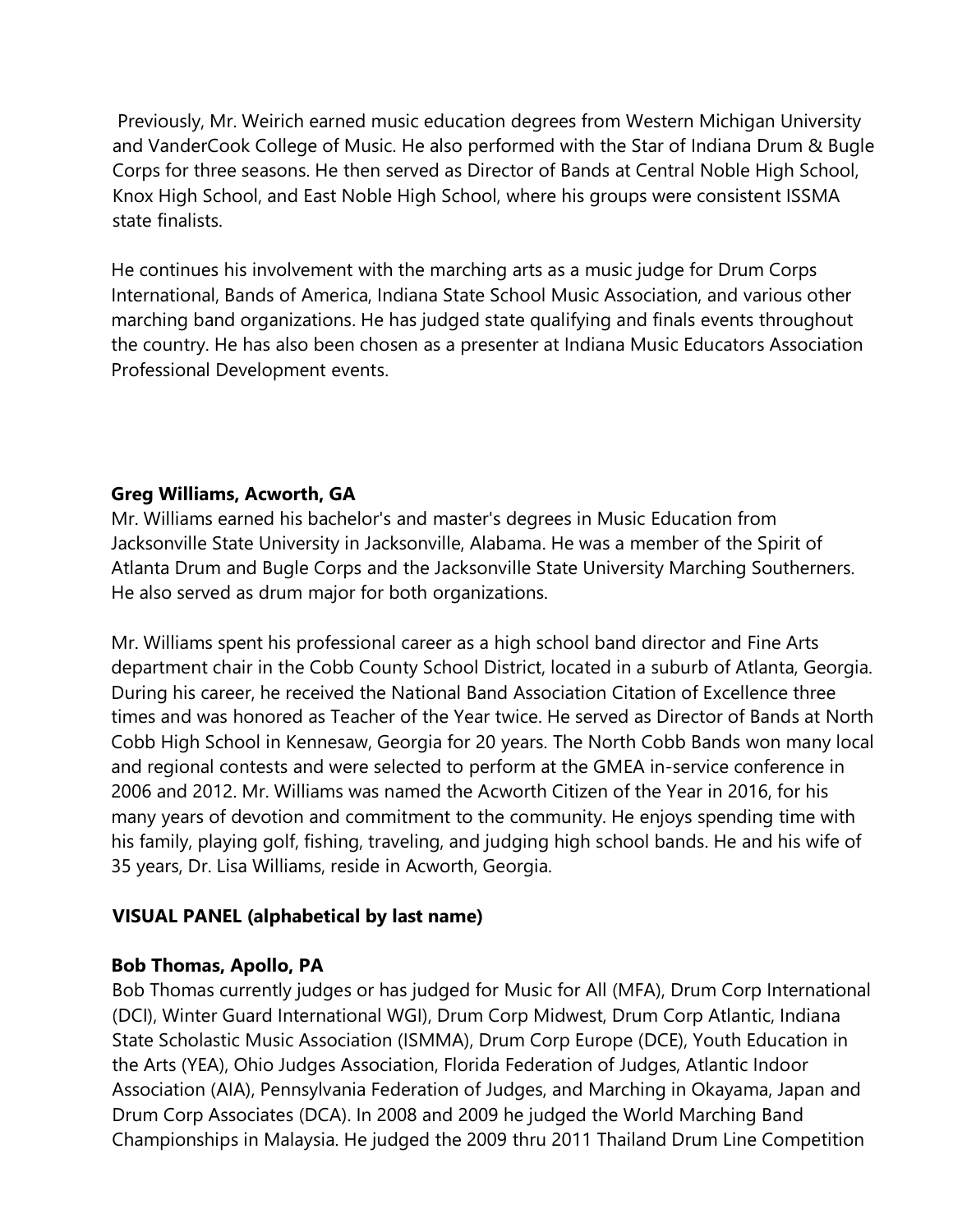Previously, Mr. Weirich earned music education degrees from Western Michigan University and VanderCook College of Music. He also performed with the Star of Indiana Drum & Bugle Corps for three seasons. He then served as Director of Bands at Central Noble High School, Knox High School, and East Noble High School, where his groups were consistent ISSMA state finalists.

He continues his involvement with the marching arts as a music judge for Drum Corps International, Bands of America, Indiana State School Music Association, and various other marching band organizations. He has judged state qualifying and finals events throughout the country. He has also been chosen as a presenter at Indiana Music Educators Association Professional Development events.

### **Greg Williams, Acworth, GA**

Mr. Williams earned his bachelor's and master's degrees in Music Education from Jacksonville State University in Jacksonville, Alabama. He was a member of the Spirit of Atlanta Drum and Bugle Corps and the Jacksonville State University Marching Southerners. He also served as drum major for both organizations.

Mr. Williams spent his professional career as a high school band director and Fine Arts department chair in the Cobb County School District, located in a suburb of Atlanta, Georgia. During his career, he received the National Band Association Citation of Excellence three times and was honored as Teacher of the Year twice. He served as Director of Bands at North Cobb High School in Kennesaw, Georgia for 20 years. The North Cobb Bands won many local and regional contests and were selected to perform at the GMEA in-service conference in 2006 and 2012. Mr. Williams was named the Acworth Citizen of the Year in 2016, for his many years of devotion and commitment to the community. He enjoys spending time with his family, playing golf, fishing, traveling, and judging high school bands. He and his wife of 35 years, Dr. Lisa Williams, reside in Acworth, Georgia.

### **VISUAL PANEL (alphabetical by last name)**

#### **Bob Thomas, Apollo, PA**

Bob Thomas currently judges or has judged for Music for All (MFA), Drum Corp International (DCI), Winter Guard International WGI), Drum Corp Midwest, Drum Corp Atlantic, Indiana State Scholastic Music Association (ISMMA), Drum Corp Europe (DCE), Youth Education in the Arts (YEA), Ohio Judges Association, Florida Federation of Judges, Atlantic Indoor Association (AIA), Pennsylvania Federation of Judges, and Marching in Okayama, Japan and Drum Corp Associates (DCA). In 2008 and 2009 he judged the World Marching Band Championships in Malaysia. He judged the 2009 thru 2011 Thailand Drum Line Competition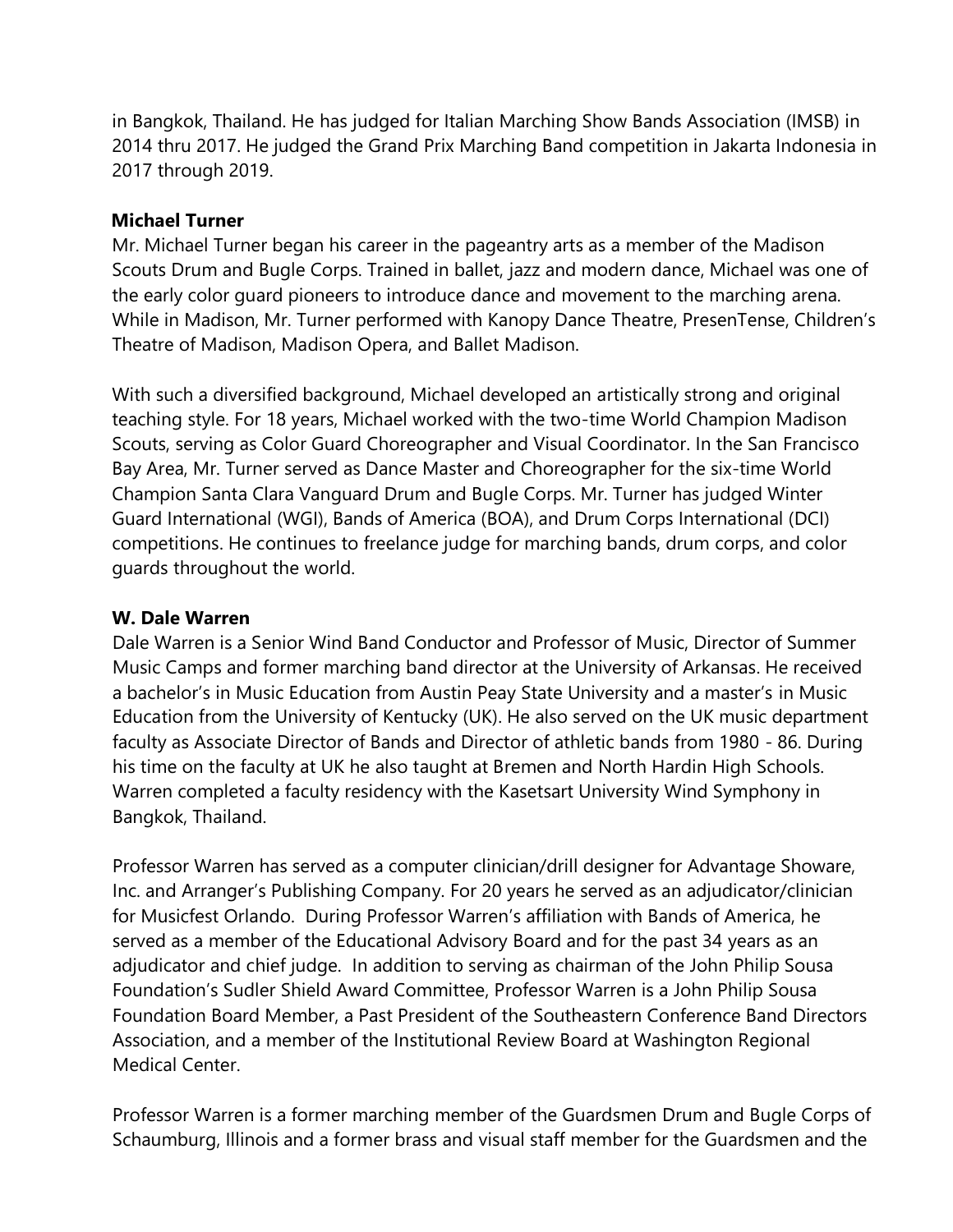in Bangkok, Thailand. He has judged for Italian Marching Show Bands Association (IMSB) in 2014 thru 2017. He judged the Grand Prix Marching Band competition in Jakarta Indonesia in 2017 through 2019.

#### **Michael Turner**

Mr. Michael Turner began his career in the pageantry arts as a member of the Madison Scouts Drum and Bugle Corps. Trained in ballet, jazz and modern dance, Michael was one of the early color guard pioneers to introduce dance and movement to the marching arena. While in Madison, Mr. Turner performed with Kanopy Dance Theatre, PresenTense, Children's Theatre of Madison, Madison Opera, and Ballet Madison.

With such a diversified background, Michael developed an artistically strong and original teaching style. For 18 years, Michael worked with the two-time World Champion Madison Scouts, serving as Color Guard Choreographer and Visual Coordinator. In the San Francisco Bay Area, Mr. Turner served as Dance Master and Choreographer for the six-time World Champion Santa Clara Vanguard Drum and Bugle Corps. Mr. Turner has judged Winter Guard International (WGI), Bands of America (BOA), and Drum Corps International (DCI) competitions. He continues to freelance judge for marching bands, drum corps, and color guards throughout the world.

#### **W. Dale Warren**

Dale Warren is a Senior Wind Band Conductor and Professor of Music, Director of Summer Music Camps and former marching band director at the University of Arkansas. He received a bachelor's in Music Education from Austin Peay State University and a master's in Music Education from the University of Kentucky (UK). He also served on the UK music department faculty as Associate Director of Bands and Director of athletic bands from 1980 - 86. During his time on the faculty at UK he also taught at Bremen and North Hardin High Schools. Warren completed a faculty residency with the Kasetsart University Wind Symphony in Bangkok, Thailand.

Professor Warren has served as a computer clinician/drill designer for Advantage Showare, Inc. and Arranger's Publishing Company. For 20 years he served as an adjudicator/clinician for Musicfest Orlando. During Professor Warren's affiliation with Bands of America, he served as a member of the Educational Advisory Board and for the past 34 years as an adjudicator and chief judge. In addition to serving as chairman of the John Philip Sousa Foundation's Sudler Shield Award Committee, Professor Warren is a John Philip Sousa Foundation Board Member, a Past President of the Southeastern Conference Band Directors Association, and a member of the Institutional Review Board at Washington Regional Medical Center.

Professor Warren is a former marching member of the Guardsmen Drum and Bugle Corps of Schaumburg, Illinois and a former brass and visual staff member for the Guardsmen and the